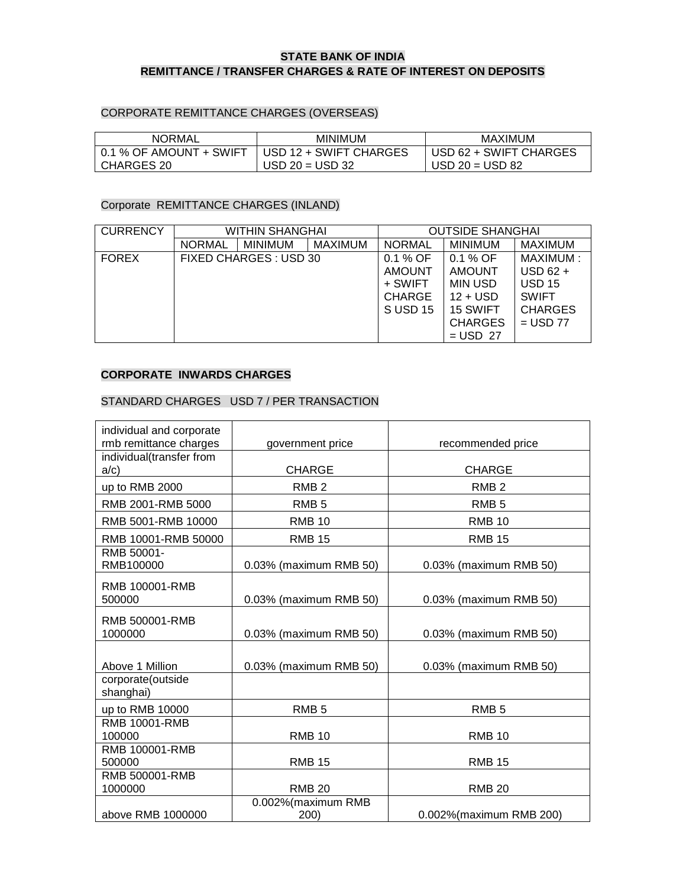### **STATE BANK OF INDIA REMITTANCE / TRANSFER CHARGES & RATE OF INTEREST ON DEPOSITS**

#### CORPORATE REMITTANCE CHARGES (OVERSEAS)

| NORMAL                  | <b>MINIMUM</b>         | MAXIMUM                  |  |
|-------------------------|------------------------|--------------------------|--|
| 0.1 % OF AMOUNT + SWIFT | USD 12 + SWIFT CHARGES | I USD 62 + SWIFT CHARGES |  |
| CHARGES 20              | $USD 20 = USD 32$      | $USD 20 = USD 82$        |  |

#### Corporate REMITTANCE CHARGES (INLAND)

| <b>CURRENCY</b> | <b>WITHIN SHANGHAI</b> |                        |                | <b>OUTSIDE SHANGHAI</b> |                |                |
|-----------------|------------------------|------------------------|----------------|-------------------------|----------------|----------------|
|                 | <b>NORMAL</b>          | <b>MINIMUM</b>         | <b>MAXIMUM</b> | <b>NORMAL</b>           | <b>MINIMUM</b> | <b>MAXIMUM</b> |
| <b>FOREX</b>    |                        | FIXED CHARGES : USD 30 |                | $0.1 %$ OF              | $0.1\%$ OF     | MAXIMUM:       |
|                 |                        |                        |                | <b>AMOUNT</b>           | <b>AMOUNT</b>  | $USD_62 +$     |
|                 |                        |                        |                | + SWIFT                 | <b>MIN USD</b> | <b>USD 15</b>  |
|                 |                        |                        |                | <b>CHARGE</b>           | $12 +$ USD     | <b>SWIFT</b>   |
|                 |                        |                        |                | SUSD <sub>15</sub>      | 15 SWIFT       | <b>CHARGES</b> |
|                 |                        |                        |                |                         | <b>CHARGES</b> | $=$ USD 77     |
|                 |                        |                        |                |                         | $=$ USD 27     |                |

#### **CORPORATE INWARDS CHARGES**

#### STANDARD CHARGES USD 7 / PER TRANSACTION

| individual and corporate<br>rmb remittance charges | government price           | recommended price        |
|----------------------------------------------------|----------------------------|--------------------------|
| individual(transfer from<br>a/c)                   | <b>CHARGE</b>              | <b>CHARGE</b>            |
| up to RMB 2000                                     | RMB <sub>2</sub>           | RMB <sub>2</sub>         |
| RMB 2001-RMB 5000                                  | RMB <sub>5</sub>           | RMB <sub>5</sub>         |
| RMB 5001-RMB 10000                                 | <b>RMB 10</b>              | <b>RMB 10</b>            |
| RMB 10001-RMB 50000                                | <b>RMB 15</b>              | <b>RMB 15</b>            |
| RMB 50001-<br>RMB100000                            | 0.03% (maximum RMB 50)     | 0.03% (maximum RMB 50)   |
| RMB 100001-RMB<br>500000                           | 0.03% (maximum RMB 50)     | 0.03% (maximum RMB 50)   |
| RMB 500001-RMB<br>1000000                          | 0.03% (maximum RMB 50)     | 0.03% (maximum RMB 50)   |
| Above 1 Million                                    | 0.03% (maximum RMB 50)     | 0.03% (maximum RMB 50)   |
| corporate(outside<br>shanghai)                     |                            |                          |
| up to RMB 10000                                    | RMB <sub>5</sub>           | RMB <sub>5</sub>         |
| <b>RMB 10001-RMB</b><br>100000                     | <b>RMB 10</b>              | <b>RMB 10</b>            |
| RMB 100001-RMB<br>500000                           | <b>RMB 15</b>              | <b>RMB 15</b>            |
| RMB 500001-RMB<br>1000000                          | <b>RMB 20</b>              | <b>RMB 20</b>            |
| above RMB 1000000                                  | 0.002%(maximum RMB<br>200) | 0.002% (maximum RMB 200) |